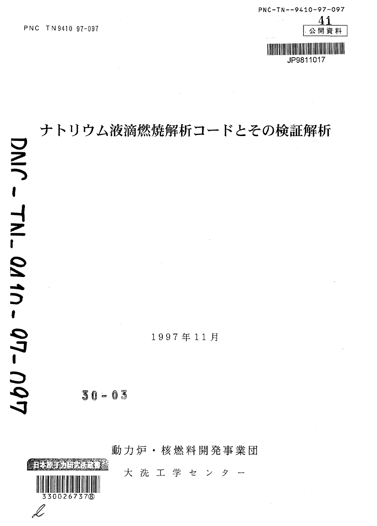

# ナトリウム液滴燃焼解析コードとその検証解析

1997年11月

 $30 - 03$ 

動力炉·核燃料開発事業団  $\frac{1}{2}$ 大 洗 工 学 セ  $\mathcal{V}$ タ 00267378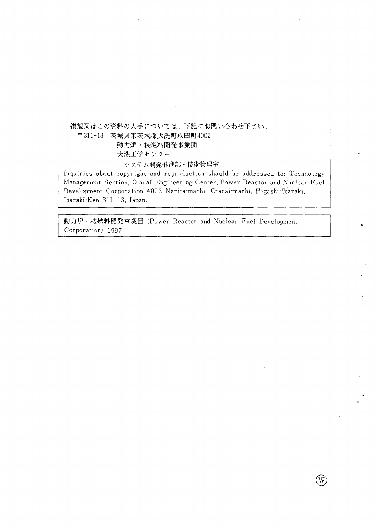## 複製又はこの資料の入手については、下記にお問い合わせ下さい。 〒311-13 茨城県東茨城郡大洗町成田町4002 動力炉·核燃料開発事業団 大洗工学センター  $\boldsymbol{\triangledown}$   $\boldsymbol{\wedge}$   $\boldsymbol{\tau}$   $\boldsymbol{\triangledown}$  -  $\boldsymbol{\mathtt{m}}$  (  $\boldsymbol{\mathtt{m}}$  )  $\boldsymbol{\mathtt{r}}$  (  $\boldsymbol{\mathtt{m}}$  )  $\boldsymbol{\mathtt{m}}$  )  $\boldsymbol{\mathtt{m}}$ Inquiries about copyright and reproduction should be addressed to: Technology

Management Section, O-arai Engineering Center, Power Reactor and Nuclear Fuel Development Corporation 4002 Narita-machi, O-arai-machi, Higashi-Ibaraki, Ibaraki-Ken 311-13, Japan.

動力炉·核燃料開発事業団 (Power Reactor and Nuclear Fuel Development Corporation) 1997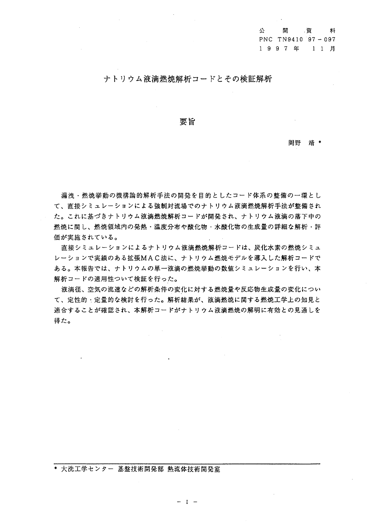公 開資 料 PNC TN9410 97 - 097 1 9 9 7 年 1 1 月

## ナトリウム液滴燃焼解析コードとその検証解析

### 要旨

岡野 靖 \*

漏洩・燃焼挙動の機構論的解析手法の開発を目的としたコード体系の整備の一環とし て、直接シミュレーションによる強制対流場でのナトリウム液滴燃焼解析手法が整備され た。これに基づきナトリウム液滴燃焼解析コードが開発され、ナトリウム液滴の落下中の 燃焼に関し、燃焼領域内の発熱・温度分布や酸化物・水酸化物の生成量の詳細な解析・評 価が実施されている。

直接シミュレーションによるナトリウム液滴燃焼解析コードは、炭化水素の燃焼シミュ レーションで実績のある拡張MAC法に、ナトリウム燃焼モデルを導入した解析コードで ある。本報告では、ナトリウムの単一液滴の燃焼挙動の数値シミュレーションを行い、本 解析コードの適用性ついて検証を行った。

液滴径、空気の流速などの解析条件の変化に対する燃焼量や反応物生成量の変化につい て、定性的・定量的な検討を行った。解析結果が、液滴燃焼に関する燃焼工学上の知見と 適合することが確認され、本解析コードがナトリウム液滴燃焼の解明に有効との見通しを 得た。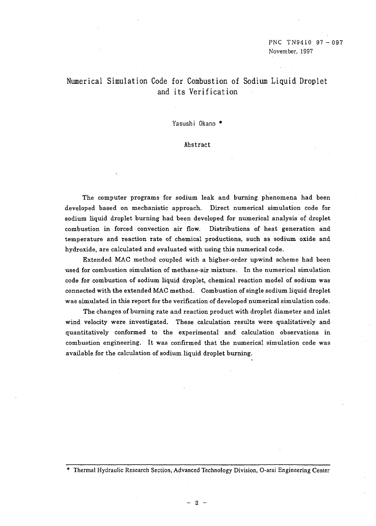## Numerical Simulation Code for Combustion of Sodium Liquid Droplet and its Verification

Yasushi Okano \*

Abstract

The computer programs for sodium leak and burning phenomena had been developed based on mechanistic approach. Direct numerical simulation code for sodium liquid droplet burning had been developed for numerical analysis of droplet combustion in forced convection air flow. Distributions of heat generation and temperature and reaction rate of chemical productions, such as sodium oxide and hydroxide, are calculated and evaluated with using this numerical code.

Extended MAC method coupled with a higher-order upwind scheme had been used for combustion simulation of methane-air mixture. In the numerical simulation code for combustion of sodium liquid droplet, chemical reaction model of sodium was connected with the extended MAC method. Combustion of single sodium liquid droplet was simulated in this report for the verification of developed numerical simulation code.

The changes of burning rate and reaction product with droplet diameter and inlet wind velocity were investigated. These calculation results were qualitatively and quantitatively conformed to the experimental and calculation observations in combustion engineering. It was confirmed that the numerical simulation code was available for the calculation of sodium liquid droplet burning.

- n -

<sup>\*</sup> Thermal Hydraulic Research Section, Advanced Technology Division, O-arai Engineering Center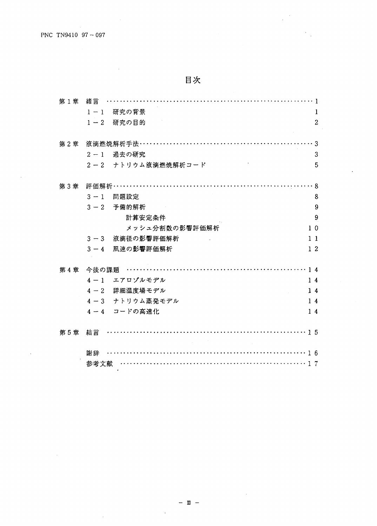$\ddot{\phantom{a}}$ 

| 第1章 | 緖言                              |                  |
|-----|---------------------------------|------------------|
|     | 研究の背景<br>$1-1$                  | 1                |
|     | 研究の目的<br>$1-2$                  | $\boldsymbol{2}$ |
|     |                                 |                  |
| 第2章 | 液滴然焼解析手法…………………………………………………     | . 3              |
|     | 過去の研究<br>$2 - 1$                | 3                |
|     | 2-2 ナトリウム液滴燃焼解析コード              | 5                |
| 第3章 | 評価解析……………………………………………………………………8 |                  |
|     | $3 - 1$<br>問題設定                 | 8                |
|     |                                 |                  |
|     | 予備的解析<br>$3 - 2$                | 9                |
|     | 計算安定条件                          | 9                |
|     | メッシュ分割数の影響評価解析                  | 1 <sub>0</sub>   |
|     | 液滴径の影響評価解析<br>$3 - 3$           | $1\;1$           |
|     | 風速の影響評価解析<br>$3 - 4$            | 12               |
|     | 第4章 今後の課題                       | 14               |
|     | 4-1 エアロゾルモデル                    | $1\,4$           |
|     | 4-2 詳細温度場モデル                    | 14               |
|     | 4-3 ナトリウム蒸発モデル                  | $1\,4$           |
|     | 4-4 コードの高速化                     | 14               |
|     |                                 |                  |
| 第5章 | 結言                              |                  |
|     |                                 |                  |
|     | 謝辞                              |                  |
|     | 参考文献                            |                  |

 $\ddot{\phantom{0}}$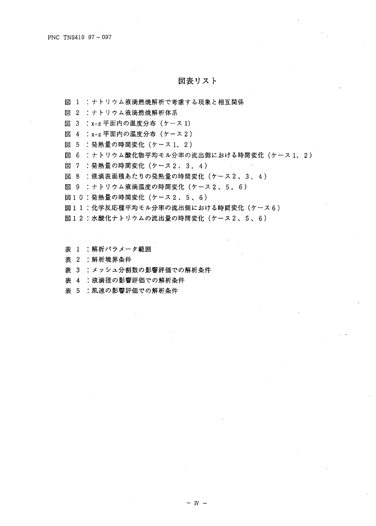## 図表リスト

図 1 :ナトリウム液滴燃焼解析で考慮する現象と相互関係

図 2 : ナトリウム液滴燃焼解析体系

図 3 : x-z 平面内の温度分布 (ケース 1)

図 4 : x-z 平面内の温度分布 (ケース2)

図 5 : 発熱量の時間変化 (ケース1、2)

図 6 : ナトリウム酸化物平均モル分率の流出側における時間変化 (ケース1、2)

図 7 :発熱量の時間変化 (ケース2、3,4)

図 8 : 液滴表面積あたりの発熱量の時間変化 (ケース2、3,4)

図 9 : ナトリウム液滴温度の時間変化 (ケース2、5,6)

図10:発熱量の時間変化 (ケース2、5、6)

図11:化学反応種平均モル分率の流出側における時間変化(ケース6)

図12:水酸化ナトリウムの流出量の時間変化(ケース2、5、6)

表 1 :解析パラメータ範囲

表 2 : 解析境界条件

表 3 : メッシュ分割数の影響評価での解析条件

表 4 : 液滴径の影響評価での解析条件

表 5 :風速の影響評価での解析条件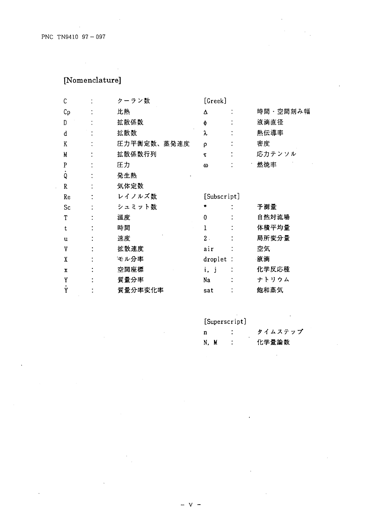## [Nomenclature]

| C           | クーラン数       | [Greek]      |          |
|-------------|-------------|--------------|----------|
| $C_{\rm p}$ | 比熱          | Δ            | 時間・空間刻み幅 |
| D           | 拡散係数        | φ            | 液滴直径     |
| d           | 拡散数         | λ            | 熱伝導率     |
| K           | 圧力平衡定数、蒸発速度 | ρ            | 密度       |
| M           | 拡散係数行列      | τ            | 応力テンソル   |
| P           | 圧力          | ω            | 燃焼率      |
| Q           | 発生熱         |              |          |
| R           | 気体定数        |              |          |
| Re          | レイノルズ数      | [Subscript]  |          |
| Sc          | シュミット数      |              | 予測量      |
| T           | 温度          | $\bf{0}$     | 自然対流場    |
| t           | 時間          | $\mathbf{I}$ | 体積平均量    |
| u           | 速度          | $2$ .        | 局所変分量    |
| V           | 拡散速度        | air          | 空気       |
| X           | モル分率        | droplet :    | 液滴       |
| x           | 空間座標        | i, j         | 化学反応種    |
| Y           | 質量分率        | Na           | ナトリウム    |
| Ϋ́          | 質量分率変化率     | sat          | 飽和蒸気     |

[Superscript]

| n    |  | タイムステップ |
|------|--|---------|
| N, M |  | 化学量論数   |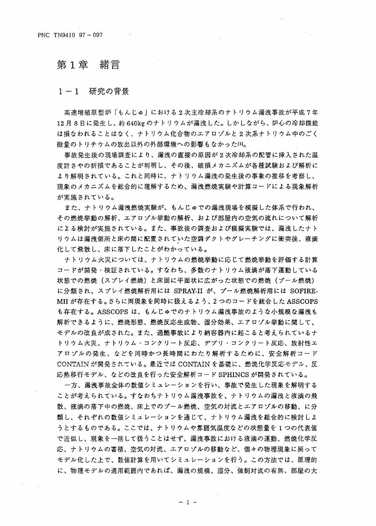#### 第1章 緒言

#### $1-1$ 研究の背景

高速増殖原型炉「もんじゅ」における2次主冷却系のナトリウム漏洩事故が平成7年 12月8日に発生し、約640kgのナトリウムが漏洩した。しかしながら、炉心の冷却機能 は損なわれることはなく、ナトリウム化合物のエアロゾルと2次系ナトリウム中のごく 微量のトリチウムの放出以外の外部環境への影響もなかった[4]。

事故発生後の現場調査により、漏洩の直接の原因が2次冷却系の配管に挿入された温 度計さやの折損であることが判明し、その後、破損メカニズムが各種試験および解析に より解明されている。これと同時に、ナトリウム漏洩の発生後の事象の推移を考察し、 現象のメカニズムを総合的に理解するため、漏洩燃焼実験や計算コードによる現象解析 が実施されている。

また、ナトリウム漏洩燃焼実験が、もんじゅでの漏洩現場を模擬した体系で行われ、 その燃焼挙動の解析、エアロゾル挙動の解析、および部屋内の空気の流れについて解析 による検討が実施されている。また、事故後の調査および模擬実験では、漏洩したナト りウムは漏洩個所と床の間に配置されていた空調ダクトやグレーチングに衝突後、液滴 化して飛散し、床に落下したことがわかっている。

ナトリウム火災については、ナトリウムの燃焼挙動に応じて燃焼挙動を評価する計算 コードが開発・検証されている。すなわち、多数のナトリウム液滴が落下運動している 状態での燃焼(スプレイ燃焼)と床面に平面状に広がった状態での燃焼(プール燃焼) に分類され、スプレイ燃焼解析用には SPRAY-II が、プール燃焼解析用には SOFIRE-MII が存在する。さらに両現象を同時に扱えるよう、 2 つのコードを統合した ASSCOPS も存在する。ASSCOPS は、もんじゅでのナトリウム漏洩事故のような小規模な漏洩も 解析できるように、燃焼形態、燃焼反応生成物、湿分効果、エアロゾル挙動に関して、 モデルの改良が成された。また、過酷事故により納容器内に起こると考えられているナ トリウム火災、ナトリウム・コンクリート反応、デブリ・コンクリート反応、放射性エ アロゾルの発生、などを同時かつ長時間にわたり解析するために、安全解析コード CONTAINが開発されている。最近では CONTAIN を基礎に、燃焼化学反応モデル、反 応熱移行モデル、などの改良を行った安全解析コード SPHINCS が開発されている。

一方、漏洩事故全体の数値シミュレーションを行い、事故で発生した現象を解明する ことが考えられている。すなわちナトリウム漏洩事故を、ナトリウムの漏洩と液滴の飛 散、液滴の落下中の燃焼、床上でのプール燃焼、空気の対流とエアロゾルの移動、に分 類し、それぞれの数値シミュレーションを通じて、ナトリウム漏洩を総合的に検討しよ うとするものである。ここでは、ナトリウムや雰囲気温度などの状態量を1つの代表値 で近似し、現象を一括して扱うことはせず、漏洩事故における液滴の運動、燃焼化学反 応、ナトリウムの蓄積、空気の対流、エアロゾルの移動など、個々の物理現象に戻って モデル化した上で、数値計算を用いてシミュレーションを行う。この方法では、原理的 に、物理モデルの適用範囲内であれば、漏洩の規模、湿分、強制対流の有無、部屋の大

 $-1 -$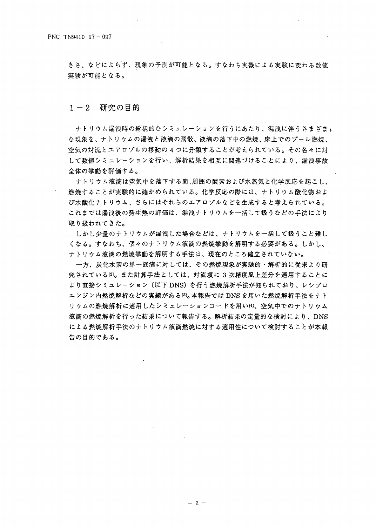きさ、などによらず、現象の予測が可能となる。すなわち実機による実験に変わる数値 実験が可能となる。

#### $1 - 2$ 研究の目的

ナトリウム漏洩時の総括的なシミュレーションを行うにあたり、漏洩に伴うさまざま、 な現象を、ナトリウムの漏洩と液滴の飛散、液滴の落下中の燃焼、床上でのプール燃焼、 空気の対流とエアロゾルの移動の4つに分類することが考えられている。その各々に対 して数値シミュレーションを行い、解析結果を相互に関連づけることにより、漏洩事故 全体の挙動を評価する。

ナトリウム液滴は空気中を落下する間、周囲の酸素および水蒸気と化学反応を起こし、 燃焼することが実験的に確かめられている。化学反応の際には、ナトリウム酸化物およ び水酸化ナトリウム、さらにはそれらのエアロゾルなどを生成すると考えられている。 これまでは漏洩後の発生熱の評価は、漏洩ナトリウムを一括して扱うなどの手法により 取り扱われてきた。

しかし少量のナトリウムが漏洩した場合などは、ナトリウムを一括して扱うこと難し くなる。すなわち、個々のナトリウム液滴の燃焼挙動を解明する必要がある。しかし、 ナトリウム液滴の燃焼挙動を解明する手法は、現在のところ確立されていない。

一方、炭化水素の単一液滴に対しては、その燃焼現象が実験的・解析的に従来より研 究されている凶。また計算手法としては、対流項に 3 次精度風上差分を適用することに より直接シミュレーション(以下 DNS)を行う燃焼解析手法が知られており、レシプロ エンジン内燃焼解析などの実績がある<sup>[3]</sup>。本報告では DNS を用いた燃焼解析手法をナト リウムの燃焼解析に適用したシミュレーションコードを用い[4]、空気中でのナトリウム 液滴の燃焼解析を行った結果について報告する。解析結果の定量的な検討により、DNS による燃焼解析手法のナトリウム液滴燃焼に対する適用性について検討することが本報 告の目的である。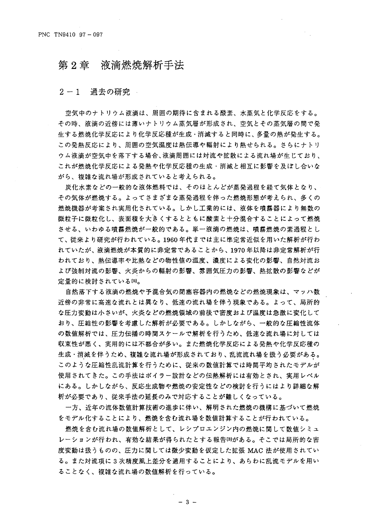## 第2章 液滴燃烧解析手法

#### $2 - 1$ 過去の研究

空気中のナトリウム液滴は、周囲の期待に含まれる酸素、水蒸気と化学反応をする。 その時、液滴の近傍には薄いナトリウム蒸気層が形成され、空気とその蒸気層の間で発 生する燃焼化学反応により化学反応種が生成・消滅すると同時に、多量の熱が発生する。 この発熱反応により、周囲の空気温度は熱伝導や輻射により熱せられる。さらにナトリ ウム液滴が空気中を落下する場合、液滴周囲には対流や拡散による流れ場が生じており、 これが燃焼化学反応による発熱や化学反応種の生成・消滅と相互に影響を及ぼし合いな がら、複雑な流れ場が形成されていると考えられる。

炭化水素などの一般的な液体燃料では、そのほとんどが蒸発過程を経て気体となり、 その気体が燃焼する。よってさまざまな蒸発過程を伴った燃焼形態が考えられ、多くの 燃焼機器が考案され実用化されている。しかし工業的には、液体を噴霧器により無数の 微粒子に微粒化し、表面積を大きくするとともに酸素と十分混合することによって燃焼 させる、いわゆる噴霧燃焼が一般的である。単一液滴の燃焼は、噴霧燃焼の素過程とし て、従来より研究が行われている。1960年代までは主に準定常近似を用いた解析が行わ れていたが、液滴燃焼が本質的に非定常であることから、1970年以降は非定常解析が行 われており、熱伝導率や比熱などの物性値の温度、濃度による変化の影響、自然対流お よび強制対流の影響、火炎からの輻射の影響、雰囲気圧力の影響、熱拡散の影響などが 定量的に検討されている[5]。

自然落下する液滴の燃焼や予混合気の閉塞容器内の燃焼などの燃焼現象は、マッハ数 近傍の非常に高速な流れとは異なり、低速の流れ場を伴う現象である。よって、局所的 な圧力変動は小さいが、火炎などの燃焼領域の前後で密度および温度は急激に変化して おり、圧縮性の影響を考慮した解析が必要である。しかしながら、一般的な圧縮性流体 の数値解析では、圧力伝播の時間スケールで解析を行うため、低速な流れ場に対しては 収束性が悪く、実用的には不都合が多い。また燃焼化学反応による発熱や化学反応種の 生成・消滅を伴うため、複雑な流れ場が形成されており、乱流流れ場を扱う必要がある。 このような圧縮性乱流計算を行うために、従来の数値計算では時間平均されたモデルが 使用されてきた。この手法はボイラー設計などの伝熱解析には有効とされ、実用レベル にある。しかしながら、反応生成物や燃焼の安定性などの検討を行うにはより詳細な解 析が必要であり、従来手法の延長のみで対応することが難しくなっている。

一方、近年の流体数値計算技術の進歩に伴い、解明された燃焼の機構に基づいて燃焼 をモデル化することにより、燃焼を含む流れ場を数値計算することが行われている。

燃焼を含む流れ場の数値解析として、レシプロエンジン内の燃焼に関して数値シミュ レーションが行われ、有効な結果が得られたとする報告☞がある。そこでは局所的な密 度変動は扱うものの、圧力に関しては微少変動を仮定した拡張 MAC 法が使用されてい る。また対流項に3次精度風上差分を適用することにより、あらわに乱流モデルを用い ることなく、複雑な流れ場の数値解析を行っている。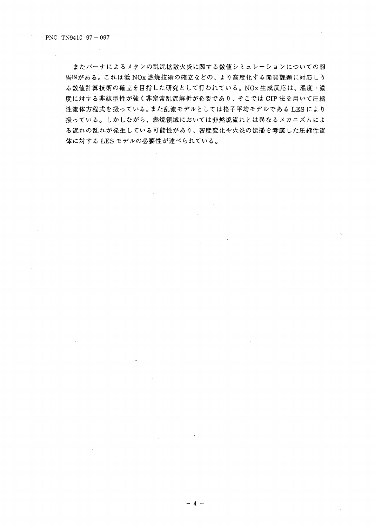またバーナによるメタンの乱流拡散火炎に関する数値シミュレーションについての報 告60がある。これは低 NOx 燃焼技術の確立などの、より高度化する開発課題に対応しう る数値計算技術の確立を目指した研究として行われている。NOx生成反応は、温度·濃 度に対する非線型性が強く非定常乱流解析が必要であり、そこでは CIP 法を用いて圧縮 性流体方程式を扱っている。また乱流モデルとしては格子平均モデルである LES により 扱っている。しかしながら、燃焼領域においては非燃焼流れとは異なるメカニズムによ る流れの乱れが発生している可能性があり、密度変化や火炎の伝播を考慮した圧縮性流 体に対するLESモデルの必要性が述べられている。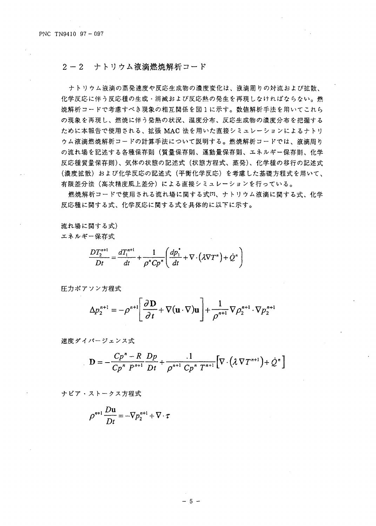#### $2 - 2$ ナトリウム液滴燃焼解析コード

ナトリウム液滴の蒸発速度や反応生成物の濃度変化は、液滴周りの対流および拡散、 化学反応に伴う反応種の生成・消滅および反応熱の発生を再現しなければならない。燃 焼解析コードで考慮すべき現象の相互関係を図1に示す。数値解析手法を用いてこれら の現象を再現し、燃焼に伴う発熱の状況、温度分布、反応生成物の濃度分布を把握する ために本報告で使用される、拡張 MAC 法を用いた直接シミュレーションによるナトリ ウム液滴燃焼解析コードの計算手法について説明する。燃焼解析コードでは、液滴周り の流れ場を記述する各種保存則(質量保存則、運動量保存則、エネルギー保存則、化学 反応種質量保存則)、気体の状態の記述式(状態方程式、蒸発)、化学種の移行の記述式 (濃度拡散)および化学反応の記述式(平衡化学反応)を考慮した基礎方程式を用いて、 有限差分法(高次精度風上差分)による直接シミュレーションを行っている。

燃焼解析コードで使用される流れ場に関する式四、ナトリウム液滴に関する式、化学 反応種に関する式、化学反応に関する式を具体的に以下に示す。

流れ場に関する式) エネルギー保存式

$$
\frac{DT_2^{n+1}}{Dt} = \frac{dT_1^{n+1}}{dt} + \frac{1}{\rho^n Cp^n} \left( \frac{dp_1^*}{dt} + \nabla \cdot (\lambda \nabla T^n) + \dot{Q}^n \right)
$$

圧力ポアソン方程式

$$
\Delta p_2^{n+1} = -\rho^{n+1} \left[ \frac{\partial \mathbf{D}}{\partial t} + \nabla (\mathbf{u} \cdot \nabla) \mathbf{u} \right] + \frac{1}{\rho^{n+1}} \nabla \rho_2^{n+1} \cdot \nabla p_2^{n+1}
$$

速度ダイバージェンス式

$$
\mathbf{D} = -\frac{Cp^{n} - R}{Cp^{n} P^{n+1}} \frac{Dp}{Dt} + \frac{1}{\rho^{n+1} Cp^{n} T^{n+1}} \Big[ \nabla \cdot (\lambda \nabla T^{n+1}) + \dot{Q}^{n} \Big]
$$

ナビア・ストークス方程式

$$
\rho^{n+1} \frac{D u}{Dt} = -\nabla p_2^{n+1} + \nabla \cdot \tau
$$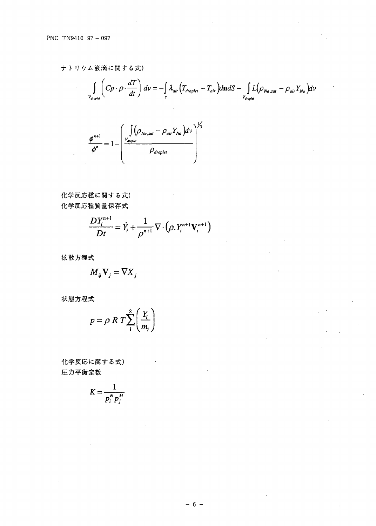ナトリウム液滴に関する式)  $\mathbb{R}^2$ 

$$
\int\limits_{V_{droplet}} \left( Cp \cdot \rho \cdot \frac{dT}{dt} \right) dv = - \int\limits_{s} \lambda_{air} \left( T_{droplet} - T_{air} \right) d\mathbf{n} dS - \int\limits_{V_{droplet}} L(\rho_{Na,sat} - \rho_{air} Y_{Na}) dv
$$

$$
\frac{\phi^{n+1}}{\phi^n} = 1 - \left( \frac{\int_{V_{droplet}} (\rho_{Na,sat} - \rho_{air} Y_{Na}) dv}{\rho_{droplet}} \right)^{1/3}
$$

化学反応種に関する式) 化学反応種質量保存式

$$
\frac{DY_i^{n+1}}{Dt} = \dot{Y}_i + \frac{1}{\rho^{n+1}} \nabla \cdot (\rho.Y_i^{n+1}V_i^{n+1})
$$

拡散方程式

$$
M_{ij}\mathbf{V}_{j}=\nabla X_{j}
$$

状態方程式

$$
p = \rho \ R \ T \sum_{i}^{8} \left( \frac{Y_i}{m_i} \right)
$$

化学反応に関する式) 圧力平衡定数

$$
K=\frac{1}{p_i^N p_i^M}
$$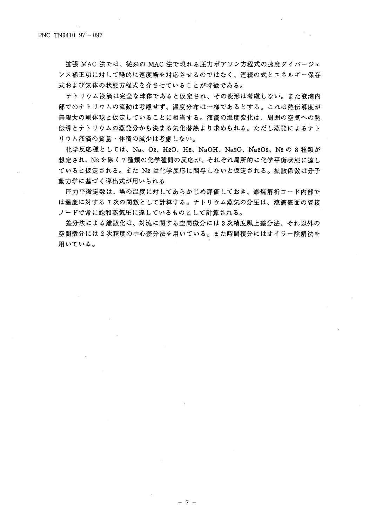拡張 MAC 法では、従来の MAC 法で現れる圧力ポアソン方程式の速度ダイバージェ ンス補正項に対して陽的に速度場を対応させるのではなく、連続の式とエネルギー保存 式および気体の状態方程式を介させていることが特徴である。

ナトリウム液滴は完全な球体であると仮定され、その変形は考慮しない。また液滴内 部でのナトリウムの流動は考慮せず、温度分布は一様であるとする。これは熱伝導度が 無限大の剛体球と仮定していることに相当する。液滴の温度変化は、周囲の空気への熱 伝導とナトリウムの蒸発分から決まる気化潜熱より求められる。ただし蒸発によるナト リウム液滴の質量・体積の減少は考慮しない。

化学反応種としては、Na、O2、H2O、H2、NaOH、Na2O、Na2O2、N2 の 8 種類が 想定され、N2を除く7種類の化学種間の反応が、それぞれ局所的に化学平衡状態に達し ていると仮定される。また N2 は化学反応に関与しないと仮定される。拡散係数は分子 動力学に基づく導出式が用いられる

圧力平衡定数は、場の温度に対してあらかじめ評価しておき、燃焼解析コード内部で は温度に対する7次の関数として計算する。ナトリウム蒸気の分圧は、液滴表面の隣接 ノードで常に飽和蒸気圧に達しているものとして計算される。

差分法による離散化は、対流に関する空間微分には3次精度風上差分法、それ以外の 空間徴分には2次精度の中心差分法を用いている。また時間積分にはオイラー陰解法を 用いている。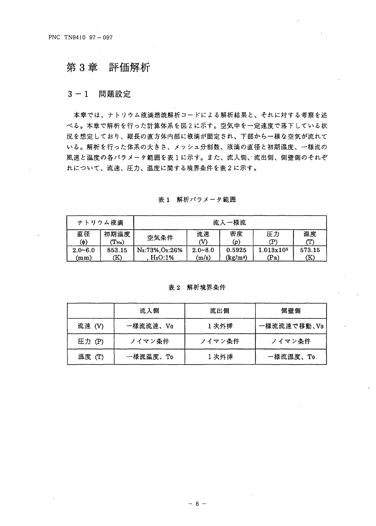#### 第3章 評価解析

#### 問題設定  $3 - 1$

本章では、ナトリウム液滴燃焼解析コードによる解析結果と、それに対する考察を述 べる。本章で解析を行った計算体系を図2に示す。空気中を一定速度で落下している状 況を想定しており、縦長の直方体内部に液滴が固定され、下部から一様な空気が流れて いる。解析を行った体系の大きさ、メッシュ分割数、液滴の直径と初期温度、一様流の 風速と温度の各パラメータ範囲を表1に示す。また、流入側、流出側、側壁側のそれぞ れについて、流速、圧力、温度に関する境界条件を表2に示す。

| ナトリウム液滴                                 |                             |                                                                 |                      | 流入一様流             |                  |                     |
|-----------------------------------------|-----------------------------|-----------------------------------------------------------------|----------------------|-------------------|------------------|---------------------|
| 直径<br>ΥФ)                               | 初期温度<br>$(\mathrm{T_{Na}})$ | 密度<br>流速<br>圧力<br>空気条件<br>(၀)<br>P)                             |                      |                   |                  | 温度<br>$\mathbf{T})$ |
| $2.0 - 6.0$<br>$\mathbf{m}\mathbf{m}$ ) | 853.15<br>K)                | N <sub>2</sub> :73%, O <sub>2</sub> :26%<br>H <sub>2</sub> O:1% | $2.0 - 8.0$<br>(m/s) | 0.5925<br>(kg/m3) | 1.013x105<br>(Pa | 573.15<br>(K)       |

表1 解析パラメータ範囲

### 表 2 解析境界条件

|        | 流入側      | 流出側    | 側壁側         |
|--------|----------|--------|-------------|
| 流速 (V) | 一様流流速、Vo | 1次外挿   | 一様流流速で移動、Vo |
| 圧力 (P) | ノイマン条件   | ノイマン条件 | ノイマン条件      |
| 温度 (T) | 一様流温度、To | 1次外挿   | 一様流温度、To    |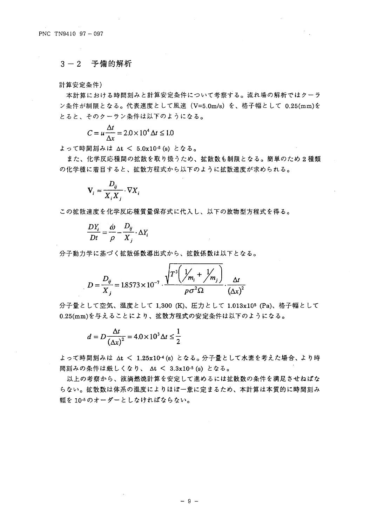## 3-2 予備的解析

計算安定条件)

本計算における時間刻みと計算安定条件について考察する。流れ場の解析ではクーラ ン条件が制限となる。代表速度として風速 (V=5.0m/s) を、格子幅として 0.25(mm)を とると、そのクーラン条件は以下のようになる。

$$
C = u \frac{\Delta t}{\Delta x} = 2.0 \times 10^4 \,\Delta t \leq 1.0
$$

よって時間刻みは Δt < 5.0x10-5 (s) となる。

また、化学反応種間の拡散を取り扱うため、拡散数も制限となる。簡単のため2種類 の化学種に着目すると、拡散方程式から以下のように拡散速度が求められる。

$$
\mathbf{V}_i \approx \frac{D_{ij}}{X_i X_i} \cdot \nabla X_i
$$

この拡散速度を化学反応種質量保存式に代入し、以下の放物型方程式を得る。

$$
\frac{DY_i}{Dt} = \frac{\dot{\omega}}{\rho} - \frac{D_{ij}}{X_j} \cdot \Delta Y_i
$$

分子動力学に基づく拡散係数導出式から、拡散係数は以下となる。

$$
D = \frac{D_{ij}}{X_i} = 1.8573 \times 10^{-7} \cdot \frac{\sqrt{T^3 (\frac{1}{m_i} + \frac{1}{m_j})}}{p \sigma^2 \Omega} \cdot \frac{\Delta t}{(\Delta x)^2}
$$

分子量として空気、温度として 1,300 (K)、圧力として 1.013x105 (Pa)、格子幅として 0.25(mm)を与えることにより、拡散方程式の安定条件は以下のようになる。

$$
d = D \frac{\Delta t}{\left(\Delta x\right)^2} = 4.0 \times 10^3 \Delta t \le \frac{1}{2}
$$

よって時間刻みは At < 1.25x10-4(s) となる。分子量として水素を考えた場合、より時 間刻みの条件は厳しくなり、 Δt < 3.3x10-5 (s) となる。

以上の考察から、液滴燃焼計算を安定して進めるには拡散数の条件を満足させねばな らない。拡散数は体系の温度によりほぼ一意に定まるため、本計算は本質的に時間刻み 幅を10-5のオーダーとしなければならない。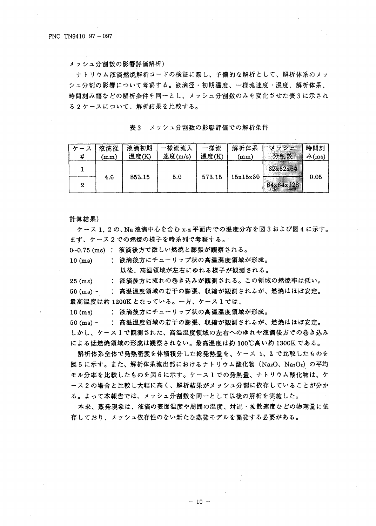メッシュ分割数の影響評価解析)

ナトリウム液滴燃焼解析コードの検証に際し、予備的な解析として、解析体系のメッ シュ分割の影響について考察する。液滴径・初期温度、一様流速度・温度、解析体系、 時間刻み幅などの解析条件を同一とし、メッシュ分割数のみを変化させた表3に示され る2ケースについて、解析結果を比較する。

表3 メッシュ分割数の影響評価での解析条件

| ース | 液滴径             | 液滴初期   | 様流流入    | 一様流    | 解析体系       | トーメッシュ                | 時間刻            |
|----|-----------------|--------|---------|--------|------------|-----------------------|----------------|
| #  | $\mathbf{mm}$ ) | 温度(K)  | 速度(m/s) | 温度(K)  | $\bf (mm)$ | 分割数                   | $\lambda$ (ms) |
| 2  | 4.6             | 853.15 | 5.0     | 573.15 | 15x15x30   | 32x32x64<br>64x64x128 | 0.05           |

計算結果)

ケース 1、2の、Na 液滴中心を含む x-z 平面内での温度分布を図3および図4に示す。 まず、ケース2での燃焼の様子を時系列で考察する。

0~0.75 (ms) : 液滴後方で激しい燃焼と膨張が観察される。

 $10$  (ms) : 液滴後方にチューリップ状の高温温度領域が形成。

以後、高温領域が左右にゆれる様子が観測される。

: 液滴後方に流れの巻き込みが観測される。この領域の燃焼率は低い。  $25$  (ms)

: 高温温度領域の若干の膨張、収縮が観測されるが、燃焼はほぼ安定。  $50 \text{ (ms)}$ 

最高温度は約 1200K となっている。一方、ケース1では、

: 液滴後方にチューリップ状の高温温度領域が形成。  $10 \text{ (ms)}$ 

: 高温温度領域の若干の膨張、収縮が観測されるが、燃焼はほぼ安定。  $50 \text{ (ms)}$ 

しかし、ケース1で観測された、高温温度領域の左右へのゆれや液滴後方での巻き込み による低燃焼領域の形成は観察されない。最高温度は約100℃高い約1300Kである。

解析体系全体で発熱密度を体積積分した総発熱量を、ケース 1、2 で比較したものを 図5に示す。また、解析体系流出部におけるナトリウム酸化物 (NazO、NazO2) の平均 モル分率を比較したものを図6に示す。ケース1での発熱量、ナトリウム酸化物は、ケ ース2の場合と比較し大幅に高く、解析結果がメッシュ分割に依存していることが分か る。よって本報告では、メッシュ分割数を同一として以後の解析を実施した。

本来、蒸発現象は、液滴の表面温度や周囲の温度、対流・拡散速度などの物理量に依 存しており、メッシュ依存性のない新たな蒸発モデルを開発する必要がある。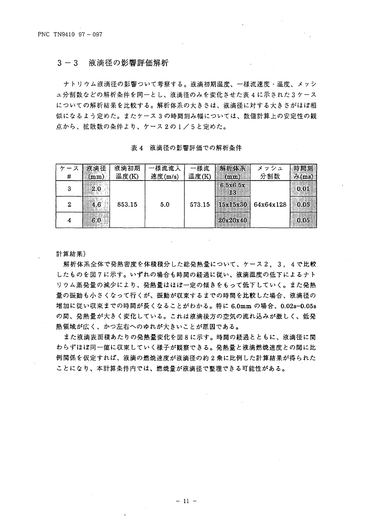#### $3 - 3$ 液滴径の影響評価解析

ナトリウム液滴径の影響ついて考察する。液滴初期温度、一様流速度・温度、メッシ ュ分割数などの解析条件を同一とし、液滴径のみを変化させた表 4 に示された 3 ケース についての解析結果を比較する。解析体系の大きさは、液滴径に対する大きさがほぼ相 似になるよう定めた。またケース3の時間刻み幅については、数値計算上の安定性の観 点から、拡散数の条件より、ケース2の1/5と定めた。

表 4 液滴径の影響評価での解析条件

| # | 液滴径<br>(mm) | 液滴初期<br>温度(K) | -様流流入<br>速度(m/s) | 様流<br>温度(K) | 解析体系<br>(mm)    | メッシュ<br>分割数 | 時間刻<br>$\lambda$ (ms) |
|---|-------------|---------------|------------------|-------------|-----------------|-------------|-----------------------|
| з | 2.0         |               |                  |             | 6 5x6 5x<br>183 |             | 0.01                  |
| 2 | 4.6         | 853.15        | 5.0              | 573.15      | $ $ 15x15x30    | 64x64x128   | 0.05                  |
|   | 6.0         |               |                  |             | 20x20x40        |             | 0.05                  |

計算結果)

解析体系全体で発熱密度を体積積分した総発熱量について、ケース2、3,4で比較 したものを図7に示す。いずれの場合も時間の経過に従い、液滴温度の低下によるナト リウム蒸発量の減少により、発熱量はほぼ一定の傾きをもって低下していく。また発熱 量の振動も小さくなって行くが、振動が収束するまでの時間を比較した場合、液滴径の 増加に従い収束までの時間が長くなることがわかる。特に 6.0mm の場合、0.02s~0.05s の間、発熱量が大きく変化している。これは液滴後方の空気の流れ込みが激しく、低発 熱領域が広く、かつ左右へのゆれが大きいことが原因である。

また液滴表面積あたりの発熱量変化を図8に示す。時間の経過とともに、液滴径に関 わらずほぼ同一値に収束していく様子が観察できる。発熱量と液滴燃焼速度との間に比 例関係を仮定すれば、液滴の燃焼速度が液滴径の約2乗に比例した計算結果が得られた ことになり、本計算条件内では、燃焼量が液滴径で整理できる可能性がある。

 $-11 -$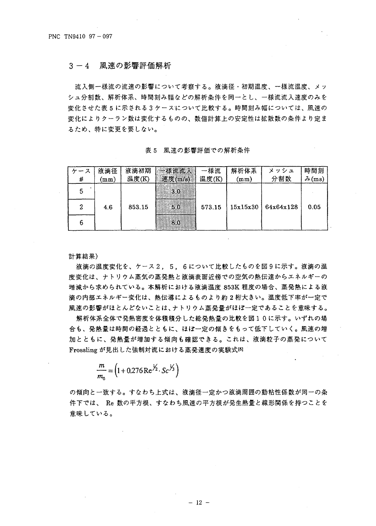3-4 風速の影響評価解析

流入側一様流の流速の影響について考察する。液滴径・初期温度、一様流温度、メッ シュ分割数、解析体系、時間刻み幅などの解析条件を同一とし、一様流流入速度のみを 変化させた表5に示される3ケースについて比較する。時間刻み幅については、風速の 変化によりクーラン数は変化するものの、数値計算上の安定性は拡散数の条件より定ま るため、特に変更を要しない。

表5 風速の影響評価での解析条件

| ース | 液滴径             | 液滴初期   | 一様流流入   | 様流     | 解析体系            | メッシュ      | 時間刻            |
|----|-----------------|--------|---------|--------|-----------------|-----------|----------------|
| #  | $(\texttt{mm})$ | 温度(K)  | 速度(m/s) | 温度(K)  | $(\texttt{mm})$ | 分割数       | $\lambda$ (ms) |
|    |                 |        | 3.0     |        |                 |           |                |
|    | 4.6             | 853.15 | 5.0     | 573.15 | 15x15x30        | 64x64x128 | 0.05           |
| 6  |                 |        | 8.0     |        |                 |           |                |

計算結果)

液滴の温度変化を、ケース2,5,6について比較したものを図9に示す。液滴の温 度変化は、ナトリウム蒸気の蒸発熱と液滴表面近傍での空気の熱伝達からエネルギーの 増減から求められている。本解析における液滴温度 853K 程度の場合、蒸発熱による液 滴の内部エネルギー変化は、熱伝導によるものより約2桁大きい。温度低下率が一定で 風速の影響がほとんどないことは、ナトリウム蒸発量がほぼ一定であることを意味する。

解析体系全体で発熱密度を体積積分した総発熱量の比較を図10に示す。いずれの場 合も、発熱量は時間の経過とともに、ほぼ一定の傾きをもって低下していく。風速の増 加とともに、発熱量が増加する傾向も確認できる。これは、液滴粒子の蒸発について Frossling が見出した強制対流における蒸発速度の実験式6

$$
\frac{m}{m_0} = \left(1 + 0.276 \,\text{Re}^{\frac{1}{2}} \cdot \text{Sc}^{\frac{1}{3}}\right)
$$

の傾向と一致する。すなわち上式は、液滴径一定かつ液滴周囲の動粘性係数が同一の条 件下では、 Re 数の平方根、すなわち風速の平方根が発生熱量と線形関係を持つことを 意味している。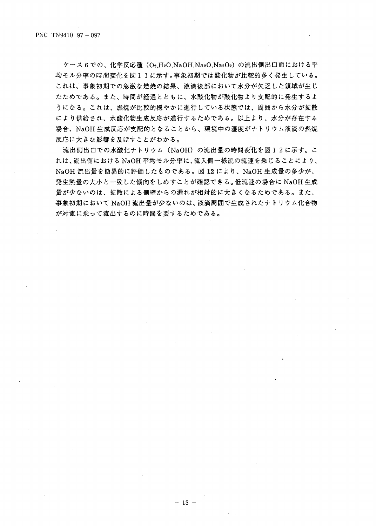ケース6での、化学反応種 (O2.H2O.NaOH.Na2O.Na2O2) の流出側出口面における平 均モル分率の時間変化を図11に示す。事象初期では酸化物が比較的多く発生している。 これは、事象初期での急激な燃焼の結果、液滴後部において水分が欠乏した領域が生じ たためである。また、時間が経過とともに、水酸化物が酸化物より支配的に発生するよ うになる。これは、燃焼が比較的穏やかに進行している状態では、周囲から水分が拡散 により供給され、水酸化物生成反応が進行するためである。以上より、水分が存在する 場合、NaOH 生成反応が支配的となることから、環境中の湿度がナトリウム液滴の燃焼 反応に大きな影響を及ぼすことがわかる。

流出側出口での水酸化ナトリウム(NaOH)の流出量の時間変化を図12に示す。こ れは、流出側における NaOH 平均モル分率に、流入側一様流の流速を乗じることにより、 NaOH 流出量を簡易的に評価したものである。図 12 により、NaOH 生成量の多少が、 発生熱量の大小と一致した傾向をしめすことが確認できる。低流速の場合に NaOH 生成 量が少ないのは、拡散による側壁からの漏れが相対的に大きくなるためである。また、 事象初期において NaOH 流出量が少ないのは、液滴周囲で生成されたナトリウム化合物 が対流に乗って流出するのに時間を要するためである。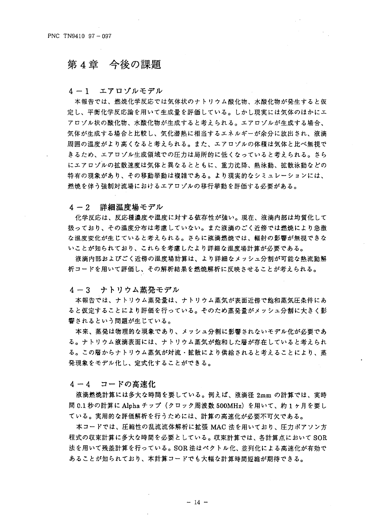## 第4章 今後の課題

4-1 エアロゾルモデル

本報告では、燃焼化学反応では気体状のナトリウム酸化物、水酸化物が発生すると仮 定し、平衡化学反応論を用いて生成量を評価している。しかし現実には気体のほかにエ アロゾル状の酸化物、水酸化物が生成すると考えられる。エアロゾルが生成する場合、 気体が生成する場合と比較し、気化潜熱に相当するエネルギーが余分に放出され、液滴 周囲の温度がより高くなると考えられる。また、エアロゾルの体積は気体と比べ無視で きるため、エアロゾル生成領域での圧力は局所的に低くなっていると考えられる。さら にエアロゾルの拡散速度は気体と異なるとともに、重力沈降、熱泳動、拡散泳動などの 特有の現象があり、その移動挙動は複雑である。より現実的なシミュレーションには、 燃焼を伴う強制対流場におけるエアロゾルの移行挙動を評価する必要がある。

詳細温度場モデル  $4 - 2$ 

化学反応は、反応種濃度や温度に対する依存性が強い。現在、液滴内部は均質化して 扱っており、その温度分布は考慮していない。また液滴のごく近傍では燃焼により急激 な温度変化が生じていると考えられる。さらに液滴燃焼では、輻射の影響が無視できな いことが知られており、これらを考慮したより詳細な温度場計算が必要である。

液滴内部およびごく近傍の温度場計算は、より詳細なメッシュ分割が可能な熱流動解 析コードを用いて評価し、その解析結果を燃焼解析に反映させることが考えられる。

4-3 ナトリウム蒸発モデル

本報告では、ナトリウム蒸発量は、ナトリウム蒸気が表面近傍で飽和蒸気圧条件にあ ると仮定することにより評価を行っている。そのため蒸発量がメッシュ分割に大きく影 響されるという問題が生じている。

本来、蒸発は物理的な現象であり、メッシュ分割に影響されないモデル化が必要であ る。ナトリウム液滴表面には、ナトリウム蒸気が飽和した層が存在していると考えられ る。この層からナトリウム蒸気が対流・拡散により供給されると考えることにより、蒸 発現象をモデル化し、定式化することができる。

コードの高速化  $4 - 4$ 

液滴燃焼計算には多大な時間を要している。例えば、液滴径 2mm の計算では、実時 間 0.1 秒の計算に Alpha チップ(クロック周波数 500MHz)を用いて、約1ヶ月を要し ている。実用的な評価解析を行うためには、計算の高速化が必要不可欠である。

本コードでは、圧縮性の乱流流体解析に拡張 MAC 法を用いており、圧力ポアソン方 程式の収束計算に多大な時間を必要としている。収束計算では、各計算点において SOR 法を用いて残差計算を行っている。SOR 法はベクトル化、並列化による高速化が有効で あることが知られており、本計算コードでも大幅な計算時間短縮が期待できる。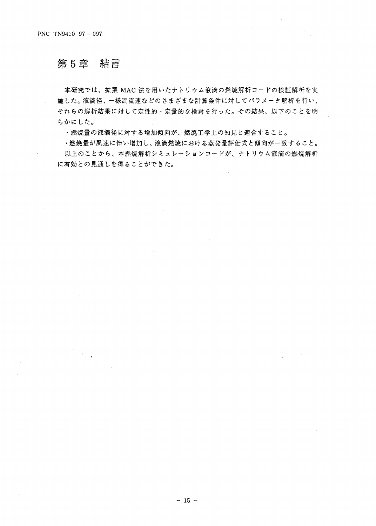#### 第5章 結言

 $\sim$ 

本研究では、拡張 MAC 法を用いたナトリウム液滴の燃焼解析コードの検証解析を実 施した。液滴径、一様流流速などのさまざまな計算条件に対してパラメータ解析を行い、 それらの解析結果に対して定性的·定量的な検討を行った。その結果、以下のことを明 らかにした。

・燃焼量の液滴径に対する増加傾向が、燃焼工学上の知見と適合すること。

・燃焼量が風速に伴い増加し、液滴燃焼における蒸発量評価式と傾向が一致すること。 以上のことから、本燃焼解析シミュレーションコードが、ナトリウム液滴の燃焼解析 に有効との見通しを得ることができた。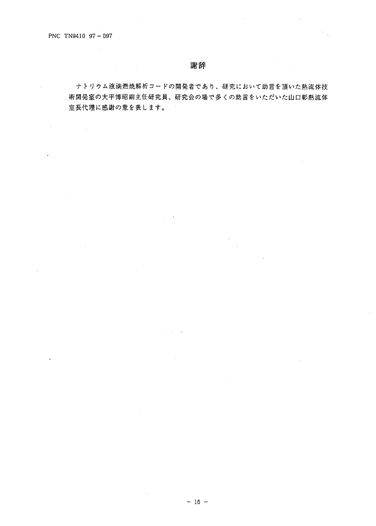$\sim 10$ 

**Contractor** 

## 謝辞

ナトリウム液滴燃焼解析コードの開発者であり、研究において助言を頂いた熱流体技 術開発室の大平博昭副主任研究員、研究会の場で多くの助言をいただいた山口彰熱流体 室長代理に感謝の意を表します。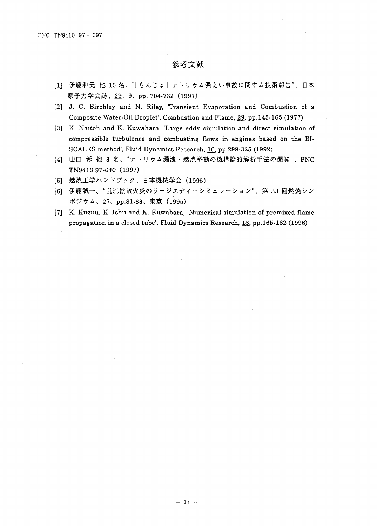- [1] 伊藤和元 他 10 名、"「もんじゅ」ナトリウム漏えい事故に関する技術報告"、日本 原子力学会誌、39、9、pp. 704-732 (1997)
- [2] J. C. Birchley and N. Riley, 'Transient Evaporation and Combustion of a Composite Water-Oil Droplet', Combustion and Flame, 29, pp.145-165 (1977)
- [3] K. Naitoh and K. Kuwahara, 'Large eddy simulation and direct simulation of compressible turbulence and combusting flows in engines based on the BI-SCALES method', Fluid Dynamics Research, 10, pp.299-325 (1992)
- [4] 山口 彰 他 3 名、"ナトリウム漏洩・燃焼挙動の機構論的解析手法の開発"、PNC TN9410 97-040 (1997)
- [5] 燃焼工学ハンドブック、日本機械学会 (1995)
- [6] 伊藤誠一、"乱流拡散火炎のラージエディーシミュレーション"、第33回燃焼シン ポジウム、27、pp.81-83、東京 (1995)
- [7] K. Kuzuu, K. Ishii and K. Kuwahara, 'Numerical simulation of premixed flame propagation in a closed tube', Fluid Dynamics Research, 18, pp.165-182 (1996)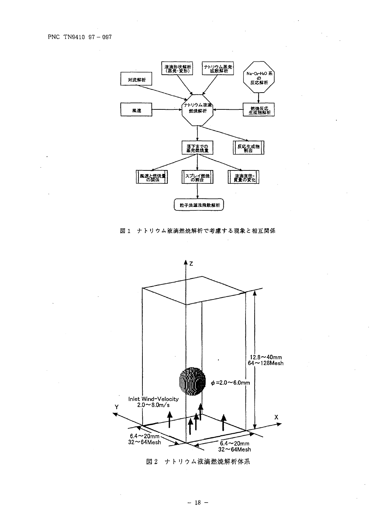

図1 ナトリウム液滴燃焼解析で考慮する現象と相互関係



図2 ナトリウム液滴燃焼解析体系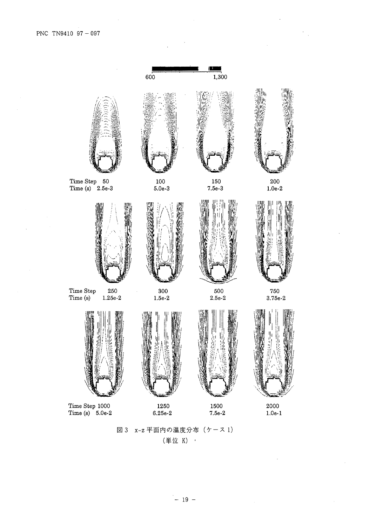$\hat{\mathcal{A}}$ 



 $\frac{1}{\sqrt{2}}$ 

図3 x-z 平面内の温度分布 (ケース1) (単位 K)  $\sim$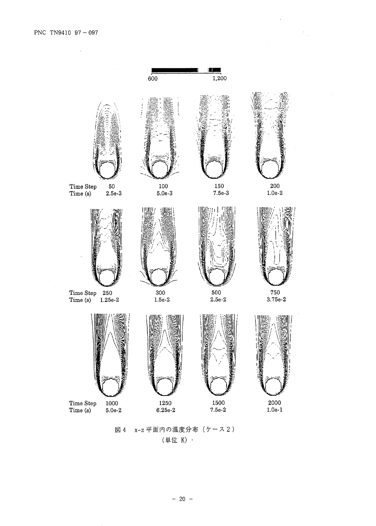$\hat{\mathcal{A}}$ 



 $\ddot{\phantom{0}}$ 

 $\frac{1}{2} \frac{1}{2}$ 

### x-z 平面内の温度分布 (ケース2) 図 4 (単位 K) ·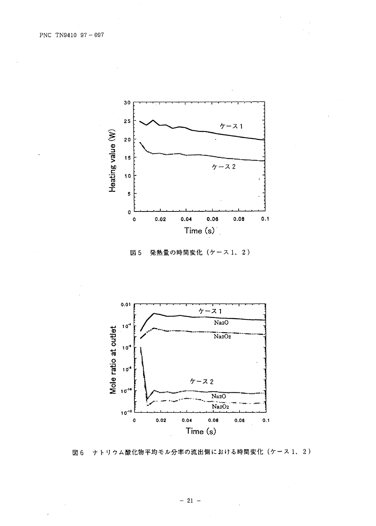

発熱量の時間変化 (ケース1、2) 図 5



ナトリウム酸化物平均モル分率の流出側における時間変化(ケース1、2) 図 6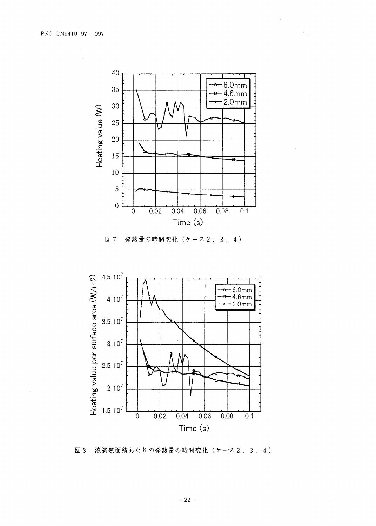





液滴表面積あたりの発熱量の時間変化(ケース2、3,4) 図 8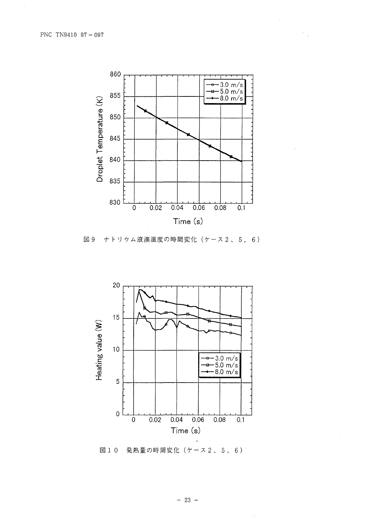

 $\frac{1}{2}$  .

図9 ナトリウム液滴温度の時間変化 (ケース2、5,6)



図10 発熱量の時間変化 (ケース2、5、6)

 $-23 -$ 

 $\bar{\gamma}$